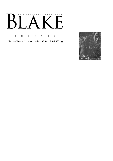# AN ILLUSTRATED QUARTERLY Ӄ  $\mathbf{L}$

C O N T E N T S

Blake/An Illustrated Quarterly, Volume 19, Issue 2, Fall 1985, pp. 53-55

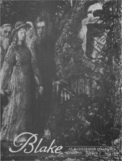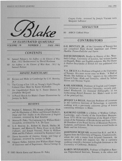

#### AN ILLUSTRATED OUARTERLY **VOLUME 19 NUMBER 2 FALL 1985**

# **CONTENTS**

- 56 Samuel Palmer's An Address to the Electors of West Kent, 1832 Rediscovered by David Bindman
- An Address to the Electors of West Kent, 1832 by 60 Samuel Palmer

#### **MINUTE PARTICULARS**

- Keynes and Blake at Cambridge by G.E. Bentley, 69 Jr.
- The Crying of Lot 318; or, Young's Night Thoughts 71 Colored Once More by Karen Mulhallen
- An Unpublished Poem by S. Foster Damon by 72 Josephine McQuail
- A Pencil Sketch for Blake's Dante Illustrations by 73 Jenijoy La Belle

### **REVIEWS**

- Stephen C. Behrendt, The Moment of Explosion: Blake 75 and the Illustration of Milton and Edward Hodnett, Image and Text: Studies in the Illustration of English Literature, reviewed by Karl Kroeber
- Morton D. Paley, The Continuing City: William Blake's 76 Jerusalem, reviewed by V.A. De Luca
- G.E. Bentley, Jr., Robert N. Essick, Shelley M. 80 Bennett, and Morton D. Paley, Essays on the Blake Followers, and Joseph Viscomi, Prints by William Blake and His Followers, reviewed by Raymond Lister
- Dover facsimiles of America, Europe, and Songs of 83 Experience, reviewed by Jenijoy La Belle
- Gregory Forbes, Selections from William Blake's Songs 84 of Innocence and of Experience; Musical Settings by

Gregory Forbes, reviewed by Joseph Viscomi with Margaret LaFrance

#### **NEWSLETTER**

89 **ASECS** Clifford Prize

# **CONTRIBUTORS**

G.E. BENTLEY, JR., of the University of Toronto has just completed Blake Records Supplement and Thomas Macklin: Picture-Publisher and Patron.

DAVID BINDMAN, Reader in History of Art, Westfield College, University of London, has written books on Hogarth, Blake; and English sculptors. His The Thames & Hudson Encyclopedia of British Art was published this year.

V.A. DE LUCA is Professor of English at the University of Toronto. His most recent essay on Blake, "A Wall of Words: The Sublime as Text," appears in the collection Unnam'd Forms: Blake and Textuality, edited by Nelson Hilton and Thomas Vogler.

KARL KROEBER, Professor of English and Comparative Literature at Columbia University, recently published Wordsworth: An Annotated Bibliography; in his forthcoming British Romantic Art, Blake's work is one of the principal foci.

JENIJOY LA BELLE, Associate Professor of Literature at the California Institute of Technology, is currently working with a previously unknown group of letters containing references to Blake.

RAYMOND LISTER is a Fellow of Wolfson College, Cambridge, and a Syndic of the Fitzwilliam Museum. From 1976-80 he was Chairman of the Board of Governors of the Federation of British Artists and from 1970-80 President of the Royal Society of Miniature Painters, Sculptors, and Gravers. He has written several books on Blake and his followers.

JOSEPHINE MCQUAIL received her B.A. and M.A. degrees from the University of Virginia, Charlottesville, where she took a course from Leopold Damrosch, the memory of which still inspires her. She is currently working towards a doctorate in English literature at the University of California, Berkeley.

KAREN MULHALLEN, Professor of English at Ryerson Polytechnical Institute, Toronto, is the editor and

C 1985 Morris Eaves and Morton D. Paley